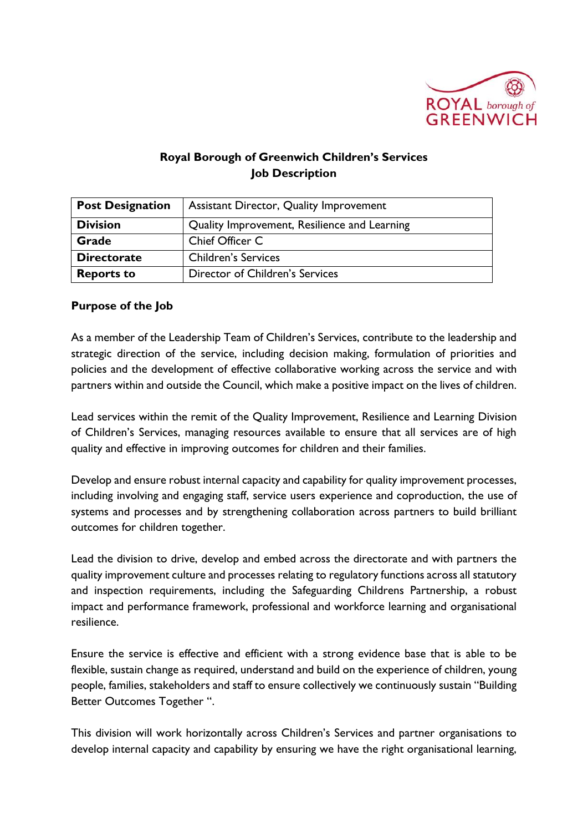

## **Royal Borough of Greenwich Children's Services Job Description**

| <b>Post Designation</b> | <b>Assistant Director, Quality Improvement</b> |
|-------------------------|------------------------------------------------|
| <b>Division</b>         | Quality Improvement, Resilience and Learning   |
| Grade                   | Chief Officer C                                |
| <b>Directorate</b>      | <b>Children's Services</b>                     |
| <b>Reports to</b>       | Director of Children's Services                |

#### **Purpose of the Job**

As a member of the Leadership Team of Children's Services, contribute to the leadership and strategic direction of the service, including decision making, formulation of priorities and policies and the development of effective collaborative working across the service and with partners within and outside the Council, which make a positive impact on the lives of children.

Lead services within the remit of the Quality Improvement, Resilience and Learning Division of Children's Services, managing resources available to ensure that all services are of high quality and effective in improving outcomes for children and their families.

Develop and ensure robust internal capacity and capability for quality improvement processes, including involving and engaging staff, service users experience and coproduction, the use of systems and processes and by strengthening collaboration across partners to build brilliant outcomes for children together.

Lead the division to drive, develop and embed across the directorate and with partners the quality improvement culture and processes relating to regulatory functions across all statutory and inspection requirements, including the Safeguarding Childrens Partnership, a robust impact and performance framework, professional and workforce learning and organisational resilience.

Ensure the service is effective and efficient with a strong evidence base that is able to be flexible, sustain change as required, understand and build on the experience of children, young people, families, stakeholders and staff to ensure collectively we continuously sustain "Building Better Outcomes Together ".

This division will work horizontally across Children's Services and partner organisations to develop internal capacity and capability by ensuring we have the right organisational learning,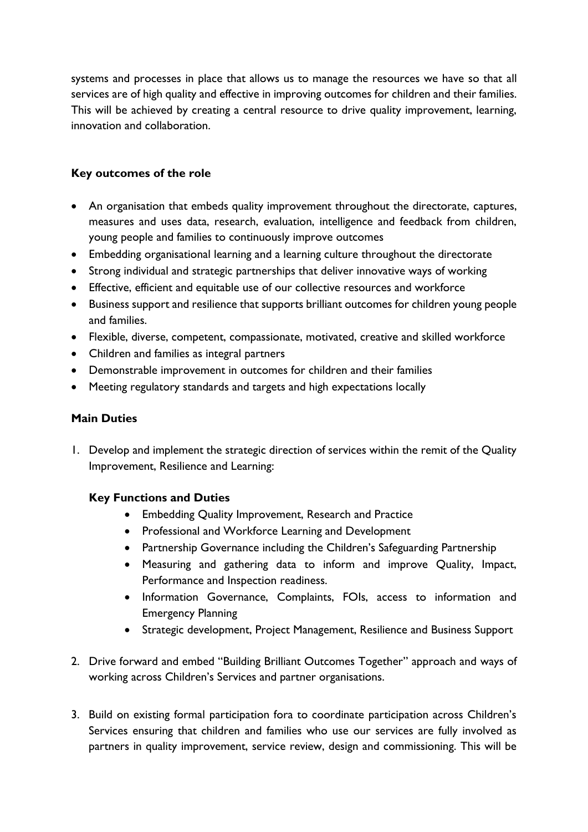systems and processes in place that allows us to manage the resources we have so that all services are of high quality and effective in improving outcomes for children and their families. This will be achieved by creating a central resource to drive quality improvement, learning, innovation and collaboration.

### **Key outcomes of the role**

- An organisation that embeds quality improvement throughout the directorate, captures, measures and uses data, research, evaluation, intelligence and feedback from children, young people and families to continuously improve outcomes
- Embedding organisational learning and a learning culture throughout the directorate
- Strong individual and strategic partnerships that deliver innovative ways of working
- Effective, efficient and equitable use of our collective resources and workforce
- Business support and resilience that supports brilliant outcomes for children young people and families.
- Flexible, diverse, competent, compassionate, motivated, creative and skilled workforce
- Children and families as integral partners
- Demonstrable improvement in outcomes for children and their families
- Meeting regulatory standards and targets and high expectations locally

#### **Main Duties**

1. Develop and implement the strategic direction of services within the remit of the Quality Improvement, Resilience and Learning:

## **Key Functions and Duties**

- Embedding Quality Improvement, Research and Practice
- Professional and Workforce Learning and Development
- Partnership Governance including the Children's Safeguarding Partnership
- Measuring and gathering data to inform and improve Quality, Impact, Performance and Inspection readiness.
- Information Governance, Complaints, FOIs, access to information and Emergency Planning
- Strategic development, Project Management, Resilience and Business Support
- 2. Drive forward and embed "Building Brilliant Outcomes Together" approach and ways of working across Children's Services and partner organisations.
- 3. Build on existing formal participation fora to coordinate participation across Children's Services ensuring that children and families who use our services are fully involved as partners in quality improvement, service review, design and commissioning. This will be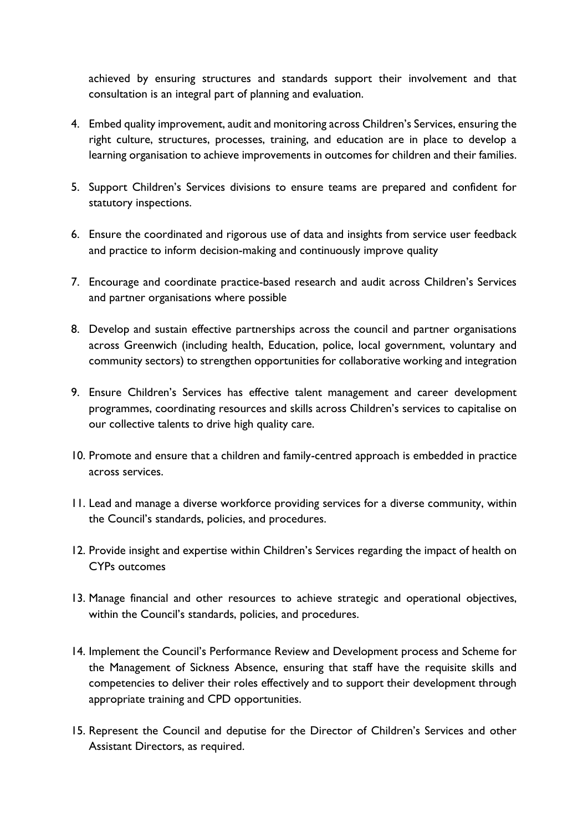achieved by ensuring structures and standards support their involvement and that consultation is an integral part of planning and evaluation.

- 4. Embed quality improvement, audit and monitoring across Children's Services, ensuring the right culture, structures, processes, training, and education are in place to develop a learning organisation to achieve improvements in outcomes for children and their families.
- 5. Support Children's Services divisions to ensure teams are prepared and confident for statutory inspections.
- 6. Ensure the coordinated and rigorous use of data and insights from service user feedback and practice to inform decision-making and continuously improve quality
- 7. Encourage and coordinate practice-based research and audit across Children's Services and partner organisations where possible
- 8. Develop and sustain effective partnerships across the council and partner organisations across Greenwich (including health, Education, police, local government, voluntary and community sectors) to strengthen opportunities for collaborative working and integration
- 9. Ensure Children's Services has effective talent management and career development programmes, coordinating resources and skills across Children's services to capitalise on our collective talents to drive high quality care.
- 10. Promote and ensure that a children and family-centred approach is embedded in practice across services.
- 11. Lead and manage a diverse workforce providing services for a diverse community, within the Council's standards, policies, and procedures.
- 12. Provide insight and expertise within Children's Services regarding the impact of health on CYPs outcomes
- 13. Manage financial and other resources to achieve strategic and operational objectives, within the Council's standards, policies, and procedures.
- 14. Implement the Council's Performance Review and Development process and Scheme for the Management of Sickness Absence, ensuring that staff have the requisite skills and competencies to deliver their roles effectively and to support their development through appropriate training and CPD opportunities.
- 15. Represent the Council and deputise for the Director of Children's Services and other Assistant Directors, as required.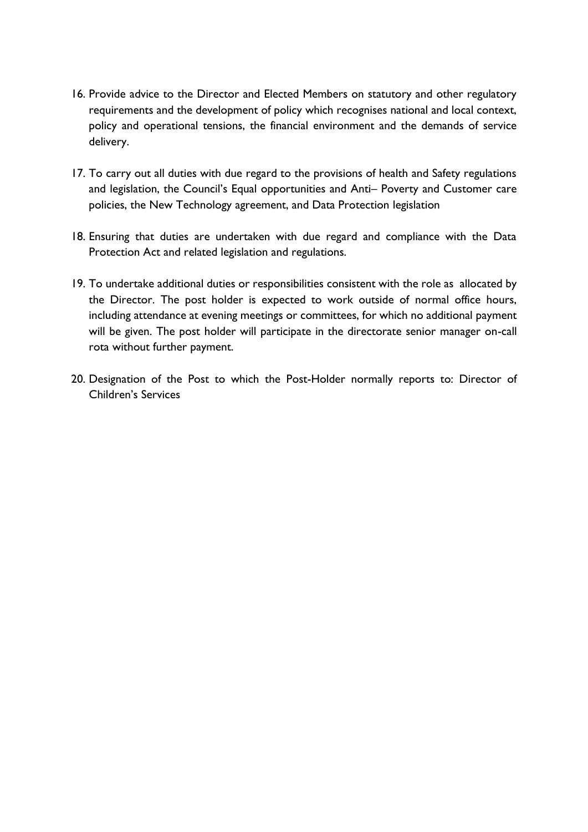- 16. Provide advice to the Director and Elected Members on statutory and other regulatory requirements and the development of policy which recognises national and local context, policy and operational tensions, the financial environment and the demands of service delivery.
- 17. To carry out all duties with due regard to the provisions of health and Safety regulations and legislation, the Council's Equal opportunities and Anti– Poverty and Customer care policies, the New Technology agreement, and Data Protection legislation
- 18. Ensuring that duties are undertaken with due regard and compliance with the Data Protection Act and related legislation and regulations.
- 19. To undertake additional duties or responsibilities consistent with the role as allocated by the Director. The post holder is expected to work outside of normal office hours, including attendance at evening meetings or committees, for which no additional payment will be given. The post holder will participate in the directorate senior manager on-call rota without further payment.
- 20. Designation of the Post to which the Post-Holder normally reports to: Director of Children's Services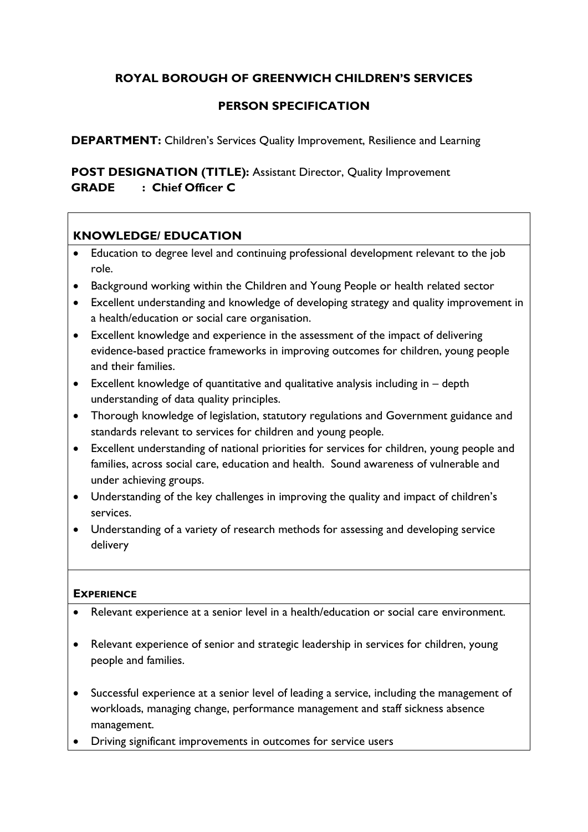# **ROYAL BOROUGH OF GREENWICH CHILDREN'S SERVICES**

# **PERSON SPECIFICATION**

**DEPARTMENT:** Children's Services Quality Improvement, Resilience and Learning

**POST DESIGNATION (TITLE):** Assistant Director, Quality Improvement **GRADE : Chief Officer C**

# **KNOWLEDGE/ EDUCATION**

- Education to degree level and continuing professional development relevant to the job role.
- Background working within the Children and Young People or health related sector
- Excellent understanding and knowledge of developing strategy and quality improvement in a health/education or social care organisation.
- Excellent knowledge and experience in the assessment of the impact of delivering evidence-based practice frameworks in improving outcomes for children, young people and their families.
- Excellent knowledge of quantitative and qualitative analysis including in depth understanding of data quality principles.
- Thorough knowledge of legislation, statutory regulations and Government guidance and standards relevant to services for children and young people.
- Excellent understanding of national priorities for services for children, young people and families, across social care, education and health. Sound awareness of vulnerable and under achieving groups.
- Understanding of the key challenges in improving the quality and impact of children's services.
- Understanding of a variety of research methods for assessing and developing service delivery

#### **EXPERIENCE**

- Relevant experience at a senior level in a health/education or social care environment.
- Relevant experience of senior and strategic leadership in services for children, young people and families.
- Successful experience at a senior level of leading a service, including the management of workloads, managing change, performance management and staff sickness absence management.
- Driving significant improvements in outcomes for service users